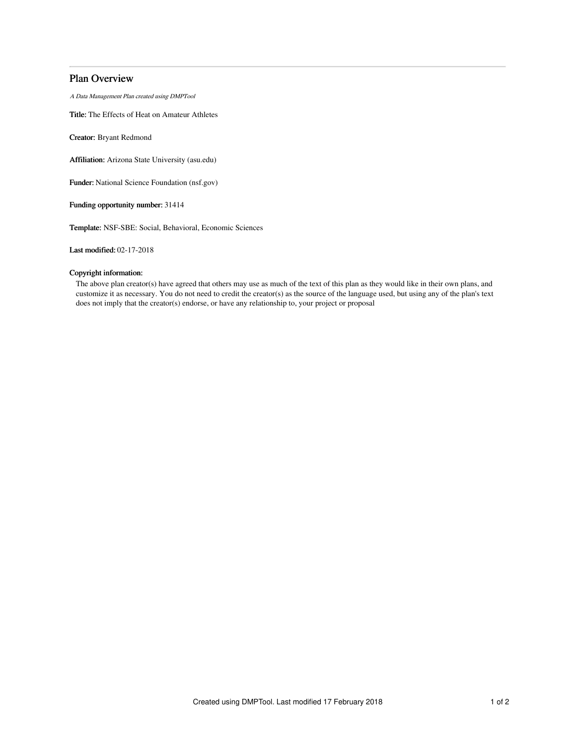# Plan Overview

A Data Management Plan created using DMPTool

Title: The Effects of Heat on Amateur Athletes

Creator: Bryant Redmond

Affiliation: Arizona State University (asu.edu)

Funder: National Science Foundation (nsf.gov)

Funding opportunity number: 31414

Template: NSF-SBE: Social, Behavioral, Economic Sciences

Last modified: 02-17-2018

## Copyright information:

The above plan creator(s) have agreed that others may use as much of the text of this plan as they would like in their own plans, and customize it as necessary. You do not need to credit the creator(s) as the source of the language used, but using any of the plan's text does not imply that the creator(s) endorse, or have any relationship to, your project or proposal